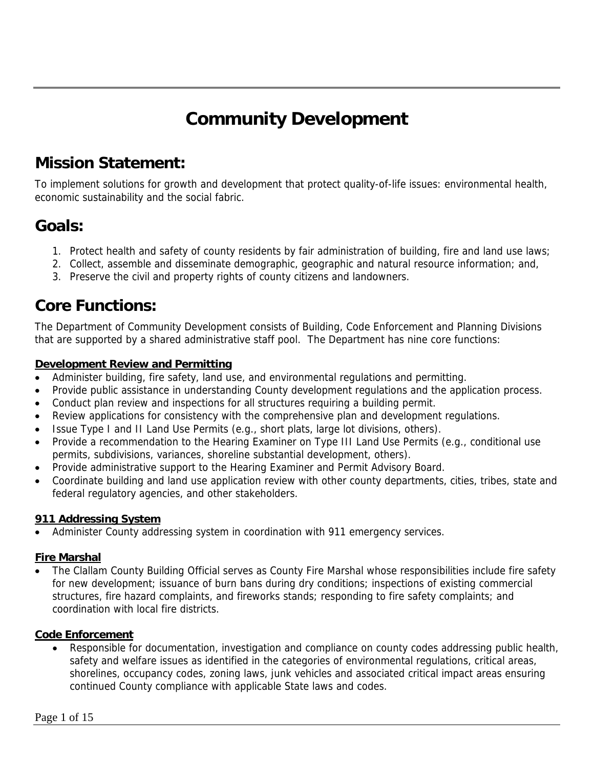# **Community Development**

# **Mission Statement:**

To implement solutions for growth and development that protect quality-of-life issues: environmental health, economic sustainability and the social fabric.

# **Goals:**

- 1. Protect health and safety of county residents by fair administration of building, fire and land use laws;
- 2. Collect, assemble and disseminate demographic, geographic and natural resource information; and,
- 3. Preserve the civil and property rights of county citizens and landowners.

# **Core Functions:**

The Department of Community Development consists of Building, Code Enforcement and Planning Divisions that are supported by a shared administrative staff pool. The Department has nine core functions:

#### **Development Review and Permitting**

- Administer building, fire safety, land use, and environmental regulations and permitting.
- Provide public assistance in understanding County development regulations and the application process.
- Conduct plan review and inspections for all structures requiring a building permit.
- Review applications for consistency with the comprehensive plan and development regulations.
- Issue Type I and II Land Use Permits (e.g., short plats, large lot divisions, others).
- Provide a recommendation to the Hearing Examiner on Type III Land Use Permits (e.g., conditional use permits, subdivisions, variances, shoreline substantial development, others).
- Provide administrative support to the Hearing Examiner and Permit Advisory Board.
- Coordinate building and land use application review with other county departments, cities, tribes, state and federal regulatory agencies, and other stakeholders.

## **911 Addressing System**

Administer County addressing system in coordination with 911 emergency services.

## **Fire Marshal**

• The Clallam County Building Official serves as County Fire Marshal whose responsibilities include fire safety for new development; issuance of burn bans during dry conditions; inspections of existing commercial structures, fire hazard complaints, and fireworks stands; responding to fire safety complaints; and coordination with local fire districts.

## **Code Enforcement**

• Responsible for documentation, investigation and compliance on county codes addressing public health, safety and welfare issues as identified in the categories of environmental regulations, critical areas, shorelines, occupancy codes, zoning laws, junk vehicles and associated critical impact areas ensuring continued County compliance with applicable State laws and codes.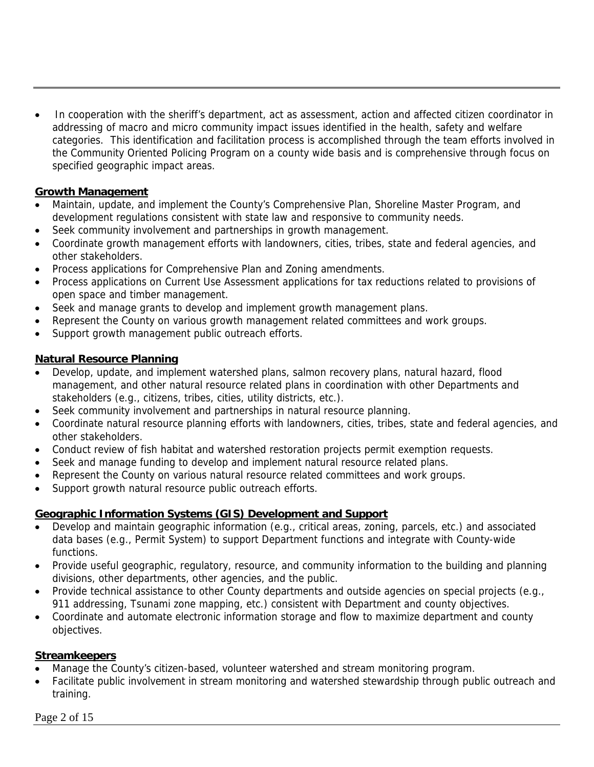• In cooperation with the sheriff's department, act as assessment, action and affected citizen coordinator in addressing of macro and micro community impact issues identified in the health, safety and welfare categories. This identification and facilitation process is accomplished through the team efforts involved in the Community Oriented Policing Program on a county wide basis and is comprehensive through focus on specified geographic impact areas.

## **Growth Management**

- Maintain, update, and implement the County's Comprehensive Plan, Shoreline Master Program, and development regulations consistent with state law and responsive to community needs.
- Seek community involvement and partnerships in growth management.
- Coordinate growth management efforts with landowners, cities, tribes, state and federal agencies, and other stakeholders.
- Process applications for Comprehensive Plan and Zoning amendments.
- Process applications on Current Use Assessment applications for tax reductions related to provisions of open space and timber management.
- Seek and manage grants to develop and implement growth management plans.
- Represent the County on various growth management related committees and work groups.
- Support growth management public outreach efforts.

# **Natural Resource Planning**

- Develop, update, and implement watershed plans, salmon recovery plans, natural hazard, flood management, and other natural resource related plans in coordination with other Departments and stakeholders (e.g., citizens, tribes, cities, utility districts, etc.).
- Seek community involvement and partnerships in natural resource planning.
- Coordinate natural resource planning efforts with landowners, cities, tribes, state and federal agencies, and other stakeholders.
- Conduct review of fish habitat and watershed restoration projects permit exemption requests.
- Seek and manage funding to develop and implement natural resource related plans.
- Represent the County on various natural resource related committees and work groups.
- Support growth natural resource public outreach efforts.

# **Geographic Information Systems (GIS) Development and Support**

- Develop and maintain geographic information (e.g., critical areas, zoning, parcels, etc.) and associated data bases (e.g., Permit System) to support Department functions and integrate with County-wide functions.
- Provide useful geographic, regulatory, resource, and community information to the building and planning divisions, other departments, other agencies, and the public.
- Provide technical assistance to other County departments and outside agencies on special projects (e.g., 911 addressing, Tsunami zone mapping, etc.) consistent with Department and county objectives.
- Coordinate and automate electronic information storage and flow to maximize department and county objectives.

# **Streamkeepers**

- Manage the County's citizen-based, volunteer watershed and stream monitoring program.
- Facilitate public involvement in stream monitoring and watershed stewardship through public outreach and training.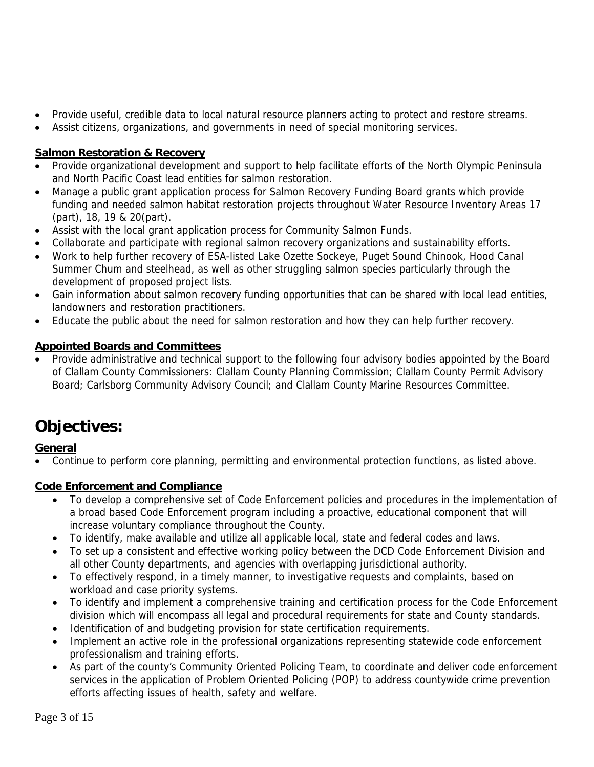- Provide useful, credible data to local natural resource planners acting to protect and restore streams.
- Assist citizens, organizations, and governments in need of special monitoring services.

## **Salmon Restoration & Recovery**

- Provide organizational development and support to help facilitate efforts of the North Olympic Peninsula and North Pacific Coast lead entities for salmon restoration.
- Manage a public grant application process for Salmon Recovery Funding Board grants which provide funding and needed salmon habitat restoration projects throughout Water Resource Inventory Areas 17 (part), 18, 19 & 20(part).
- Assist with the local grant application process for Community Salmon Funds.
- Collaborate and participate with regional salmon recovery organizations and sustainability efforts.
- Work to help further recovery of ESA-listed Lake Ozette Sockeye, Puget Sound Chinook, Hood Canal Summer Chum and steelhead, as well as other struggling salmon species particularly through the development of proposed project lists.
- Gain information about salmon recovery funding opportunities that can be shared with local lead entities, landowners and restoration practitioners.
- Educate the public about the need for salmon restoration and how they can help further recovery.

# **Appointed Boards and Committees**

• Provide administrative and technical support to the following four advisory bodies appointed by the Board of Clallam County Commissioners: Clallam County Planning Commission; Clallam County Permit Advisory Board; Carlsborg Community Advisory Council; and Clallam County Marine Resources Committee.

# **Objectives:**

## **General**

• Continue to perform core planning, permitting and environmental protection functions, as listed above.

## **Code Enforcement and Compliance**

- To develop a comprehensive set of Code Enforcement policies and procedures in the implementation of a broad based Code Enforcement program including a proactive, educational component that will increase voluntary compliance throughout the County.
- To identify, make available and utilize all applicable local, state and federal codes and laws.
- To set up a consistent and effective working policy between the DCD Code Enforcement Division and all other County departments, and agencies with overlapping jurisdictional authority.
- To effectively respond, in a timely manner, to investigative requests and complaints, based on workload and case priority systems.
- To identify and implement a comprehensive training and certification process for the Code Enforcement division which will encompass all legal and procedural requirements for state and County standards.
- Identification of and budgeting provision for state certification requirements.
- Implement an active role in the professional organizations representing statewide code enforcement professionalism and training efforts.
- As part of the county's Community Oriented Policing Team, to coordinate and deliver code enforcement services in the application of Problem Oriented Policing (POP) to address countywide crime prevention efforts affecting issues of health, safety and welfare.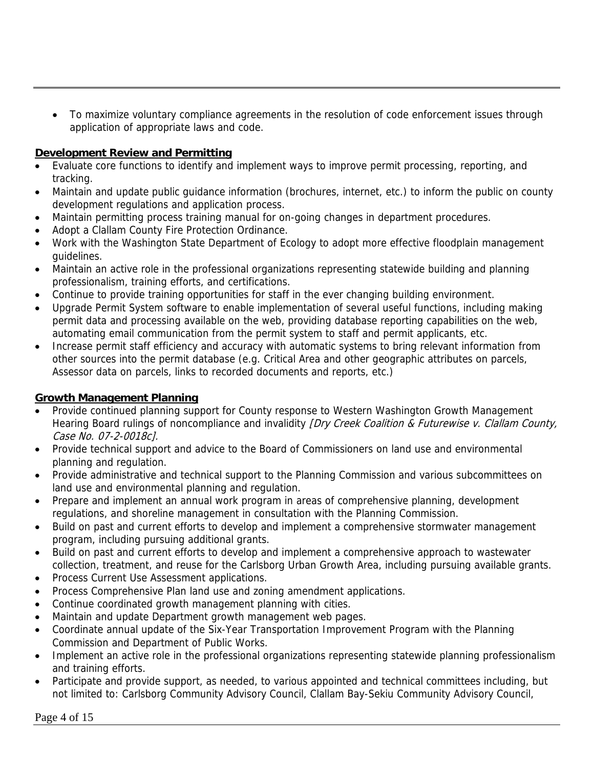• To maximize voluntary compliance agreements in the resolution of code enforcement issues through application of appropriate laws and code.

## **Development Review and Permitting**

- Evaluate core functions to identify and implement ways to improve permit processing, reporting, and tracking.
- Maintain and update public guidance information (brochures, internet, etc.) to inform the public on county development regulations and application process.
- Maintain permitting process training manual for on-going changes in department procedures.
- Adopt a Clallam County Fire Protection Ordinance.
- Work with the Washington State Department of Ecology to adopt more effective floodplain management guidelines.
- Maintain an active role in the professional organizations representing statewide building and planning professionalism, training efforts, and certifications.
- Continue to provide training opportunities for staff in the ever changing building environment.
- Upgrade Permit System software to enable implementation of several useful functions, including making permit data and processing available on the web, providing database reporting capabilities on the web, automating email communication from the permit system to staff and permit applicants, etc.
- Increase permit staff efficiency and accuracy with automatic systems to bring relevant information from other sources into the permit database (e.g. Critical Area and other geographic attributes on parcels, Assessor data on parcels, links to recorded documents and reports, etc.)

## **Growth Management Planning**

- Provide continued planning support for County response to Western Washington Growth Management Hearing Board rulings of noncompliance and invalidity *[Dry Creek Coalition & Futurewise v. Clallam County*, Case No. 07-2-0018c].
- Provide technical support and advice to the Board of Commissioners on land use and environmental planning and regulation.
- Provide administrative and technical support to the Planning Commission and various subcommittees on land use and environmental planning and regulation.
- Prepare and implement an annual work program in areas of comprehensive planning, development regulations, and shoreline management in consultation with the Planning Commission.
- Build on past and current efforts to develop and implement a comprehensive stormwater management program, including pursuing additional grants.
- Build on past and current efforts to develop and implement a comprehensive approach to wastewater collection, treatment, and reuse for the Carlsborg Urban Growth Area, including pursuing available grants.
- Process Current Use Assessment applications.
- Process Comprehensive Plan land use and zoning amendment applications.
- Continue coordinated growth management planning with cities.
- Maintain and update Department growth management web pages.
- Coordinate annual update of the Six-Year Transportation Improvement Program with the Planning Commission and Department of Public Works.
- Implement an active role in the professional organizations representing statewide planning professionalism and training efforts.
- Participate and provide support, as needed, to various appointed and technical committees including, but not limited to: Carlsborg Community Advisory Council, Clallam Bay-Sekiu Community Advisory Council,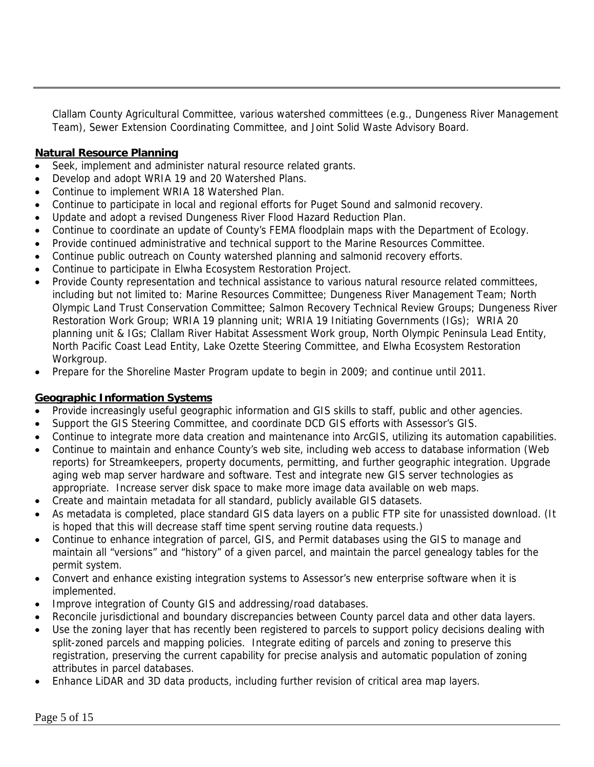Clallam County Agricultural Committee, various watershed committees (e.g., Dungeness River Management Team), Sewer Extension Coordinating Committee, and Joint Solid Waste Advisory Board.

## **Natural Resource Planning**

- Seek, implement and administer natural resource related grants.
- Develop and adopt WRIA 19 and 20 Watershed Plans.
- Continue to implement WRIA 18 Watershed Plan.
- Continue to participate in local and regional efforts for Puget Sound and salmonid recovery.
- Update and adopt a revised Dungeness River Flood Hazard Reduction Plan.
- Continue to coordinate an update of County's FEMA floodplain maps with the Department of Ecology.
- Provide continued administrative and technical support to the Marine Resources Committee.
- Continue public outreach on County watershed planning and salmonid recovery efforts.
- Continue to participate in Elwha Ecosystem Restoration Project.
- Provide County representation and technical assistance to various natural resource related committees, including but not limited to: Marine Resources Committee; Dungeness River Management Team; North Olympic Land Trust Conservation Committee; Salmon Recovery Technical Review Groups; Dungeness River Restoration Work Group; WRIA 19 planning unit; WRIA 19 Initiating Governments (IGs); WRIA 20 planning unit & IGs; Clallam River Habitat Assessment Work group, North Olympic Peninsula Lead Entity, North Pacific Coast Lead Entity, Lake Ozette Steering Committee, and Elwha Ecosystem Restoration Workgroup.
- Prepare for the Shoreline Master Program update to begin in 2009; and continue until 2011.

# **Geographic Information Systems**

- Provide increasingly useful geographic information and GIS skills to staff, public and other agencies.
- Support the GIS Steering Committee, and coordinate DCD GIS efforts with Assessor's GIS.
- Continue to integrate more data creation and maintenance into ArcGIS, utilizing its automation capabilities.
- Continue to maintain and enhance County's web site, including web access to database information (Web reports) for Streamkeepers, property documents, permitting, and further geographic integration. Upgrade aging web map server hardware and software. Test and integrate new GIS server technologies as appropriate. Increase server disk space to make more image data available on web maps.
- Create and maintain metadata for all standard, publicly available GIS datasets.
- As metadata is completed, place standard GIS data layers on a public FTP site for unassisted download. (It is hoped that this will decrease staff time spent serving routine data requests.)
- Continue to enhance integration of parcel, GIS, and Permit databases using the GIS to manage and maintain all "versions" and "history" of a given parcel, and maintain the parcel genealogy tables for the permit system.
- Convert and enhance existing integration systems to Assessor's new enterprise software when it is implemented.
- Improve integration of County GIS and addressing/road databases.
- Reconcile jurisdictional and boundary discrepancies between County parcel data and other data layers.
- Use the zoning layer that has recently been registered to parcels to support policy decisions dealing with split-zoned parcels and mapping policies. Integrate editing of parcels and zoning to preserve this registration, preserving the current capability for precise analysis and automatic population of zoning attributes in parcel databases.
- Enhance LiDAR and 3D data products, including further revision of critical area map layers.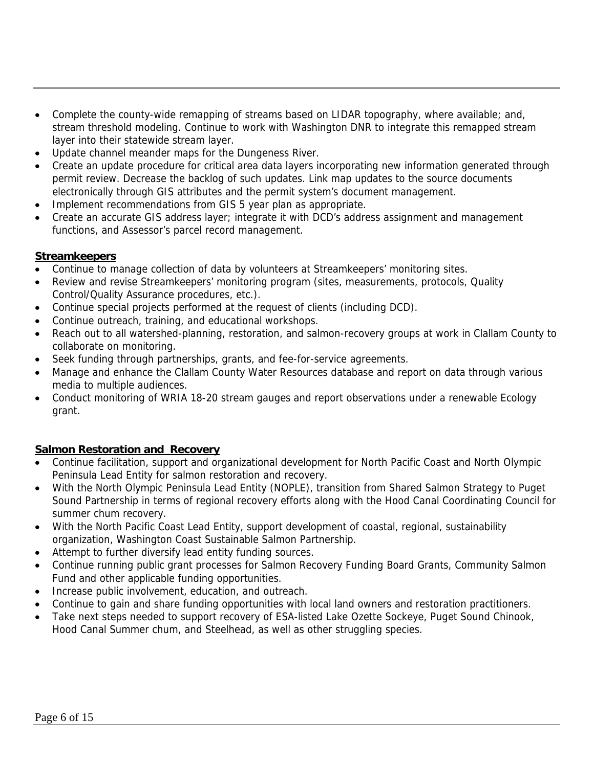- Complete the county-wide remapping of streams based on LIDAR topography, where available; and, stream threshold modeling. Continue to work with Washington DNR to integrate this remapped stream layer into their statewide stream layer.
- Update channel meander maps for the Dungeness River.
- Create an update procedure for critical area data layers incorporating new information generated through permit review. Decrease the backlog of such updates. Link map updates to the source documents electronically through GIS attributes and the permit system's document management.
- Implement recommendations from GIS 5 year plan as appropriate.
- Create an accurate GIS address layer; integrate it with DCD's address assignment and management functions, and Assessor's parcel record management.

## **Streamkeepers**

- Continue to manage collection of data by volunteers at Streamkeepers' monitoring sites.
- Review and revise Streamkeepers' monitoring program (sites, measurements, protocols, Quality Control/Quality Assurance procedures, etc.).
- Continue special projects performed at the request of clients (including DCD).
- Continue outreach, training, and educational workshops.
- Reach out to all watershed-planning, restoration, and salmon-recovery groups at work in Clallam County to collaborate on monitoring.
- Seek funding through partnerships, grants, and fee-for-service agreements.
- Manage and enhance the Clallam County Water Resources database and report on data through various media to multiple audiences.
- Conduct monitoring of WRIA 18-20 stream gauges and report observations under a renewable Ecology grant.

## **Salmon Restoration and Recovery**

- Continue facilitation, support and organizational development for North Pacific Coast and North Olympic Peninsula Lead Entity for salmon restoration and recovery.
- With the North Olympic Peninsula Lead Entity (NOPLE), transition from Shared Salmon Strategy to Puget Sound Partnership in terms of regional recovery efforts along with the Hood Canal Coordinating Council for summer chum recovery.
- With the North Pacific Coast Lead Entity, support development of coastal, regional, sustainability organization, Washington Coast Sustainable Salmon Partnership.
- Attempt to further diversify lead entity funding sources.
- Continue running public grant processes for Salmon Recovery Funding Board Grants, Community Salmon Fund and other applicable funding opportunities.
- Increase public involvement, education, and outreach.
- Continue to gain and share funding opportunities with local land owners and restoration practitioners.
- Take next steps needed to support recovery of ESA-listed Lake Ozette Sockeye, Puget Sound Chinook, Hood Canal Summer chum, and Steelhead, as well as other struggling species.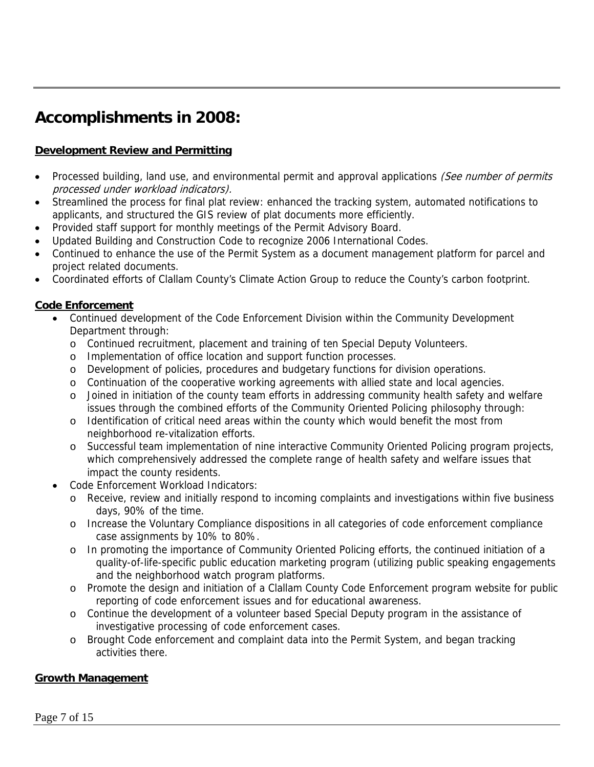# **Accomplishments in 2008:**

# **Development Review and Permitting**

- Processed building, land use, and environmental permit and approval applications (See number of permits processed under workload indicators).
- Streamlined the process for final plat review: enhanced the tracking system, automated notifications to applicants, and structured the GIS review of plat documents more efficiently.
- Provided staff support for monthly meetings of the Permit Advisory Board.
- Updated Building and Construction Code to recognize 2006 International Codes.
- Continued to enhance the use of the Permit System as a document management platform for parcel and project related documents.
- Coordinated efforts of Clallam County's Climate Action Group to reduce the County's carbon footprint.

## **Code Enforcement**

- Continued development of the Code Enforcement Division within the Community Development Department through:
	- o Continued recruitment, placement and training of ten Special Deputy Volunteers.
	- o Implementation of office location and support function processes.
	- o Development of policies, procedures and budgetary functions for division operations.
	- o Continuation of the cooperative working agreements with allied state and local agencies.
	- o Joined in initiation of the county team efforts in addressing community health safety and welfare issues through the combined efforts of the Community Oriented Policing philosophy through:
	- o Identification of critical need areas within the county which would benefit the most from neighborhood re-vitalization efforts.
	- o Successful team implementation of nine interactive Community Oriented Policing program projects, which comprehensively addressed the complete range of health safety and welfare issues that impact the county residents.
- Code Enforcement Workload Indicators:
	- o Receive, review and initially respond to incoming complaints and investigations within five business days, 90% of the time.
	- o Increase the Voluntary Compliance dispositions in all categories of code enforcement compliance case assignments by 10% to 80%.
	- o In promoting the importance of Community Oriented Policing efforts, the continued initiation of a quality-of-life-specific public education marketing program (utilizing public speaking engagements and the neighborhood watch program platforms.
	- o Promote the design and initiation of a Clallam County Code Enforcement program website for public reporting of code enforcement issues and for educational awareness.
	- o Continue the development of a volunteer based Special Deputy program in the assistance of investigative processing of code enforcement cases.
	- o Brought Code enforcement and complaint data into the Permit System, and began tracking activities there.

# **Growth Management**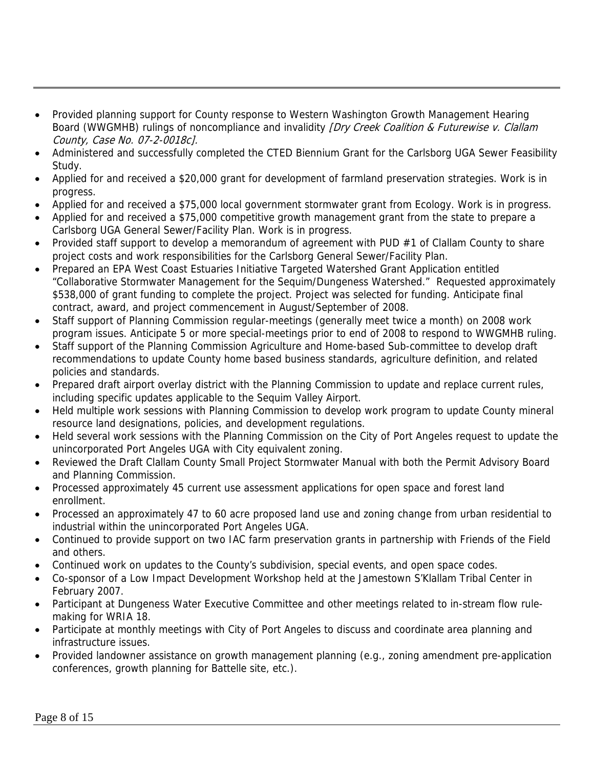- Provided planning support for County response to Western Washington Growth Management Hearing Board (WWGMHB) rulings of noncompliance and invalidity *[Dry Creek Coalition & Futurewise v. Clallam* County, Case No. 07-2-0018c].
- Administered and successfully completed the CTED Biennium Grant for the Carlsborg UGA Sewer Feasibility Study.
- Applied for and received a \$20,000 grant for development of farmland preservation strategies. Work is in progress.
- Applied for and received a \$75,000 local government stormwater grant from Ecology. Work is in progress.
- Applied for and received a \$75,000 competitive growth management grant from the state to prepare a Carlsborg UGA General Sewer/Facility Plan. Work is in progress.
- Provided staff support to develop a memorandum of agreement with PUD #1 of Clallam County to share project costs and work responsibilities for the Carlsborg General Sewer/Facility Plan.
- Prepared an EPA West Coast Estuaries Initiative Targeted Watershed Grant Application entitled "Collaborative Stormwater Management for the Sequim/Dungeness Watershed." Requested approximately \$538,000 of grant funding to complete the project. Project was selected for funding. Anticipate final contract, award, and project commencement in August/September of 2008.
- Staff support of Planning Commission regular-meetings (generally meet twice a month) on 2008 work program issues. Anticipate 5 or more special-meetings prior to end of 2008 to respond to WWGMHB ruling.
- Staff support of the Planning Commission Agriculture and Home-based Sub-committee to develop draft recommendations to update County home based business standards, agriculture definition, and related policies and standards.
- Prepared draft airport overlay district with the Planning Commission to update and replace current rules, including specific updates applicable to the Sequim Valley Airport.
- Held multiple work sessions with Planning Commission to develop work program to update County mineral resource land designations, policies, and development regulations.
- Held several work sessions with the Planning Commission on the City of Port Angeles request to update the unincorporated Port Angeles UGA with City equivalent zoning.
- Reviewed the Draft Clallam County Small Project Stormwater Manual with both the Permit Advisory Board and Planning Commission.
- Processed approximately 45 current use assessment applications for open space and forest land enrollment.
- Processed an approximately 47 to 60 acre proposed land use and zoning change from urban residential to industrial within the unincorporated Port Angeles UGA.
- Continued to provide support on two IAC farm preservation grants in partnership with Friends of the Field and others.
- Continued work on updates to the County's subdivision, special events, and open space codes.
- Co-sponsor of a Low Impact Development Workshop held at the Jamestown S'Klallam Tribal Center in February 2007.
- Participant at Dungeness Water Executive Committee and other meetings related to in-stream flow rulemaking for WRIA 18.
- Participate at monthly meetings with City of Port Angeles to discuss and coordinate area planning and infrastructure issues.
- Provided landowner assistance on growth management planning (e.g., zoning amendment pre-application conferences, growth planning for Battelle site, etc.).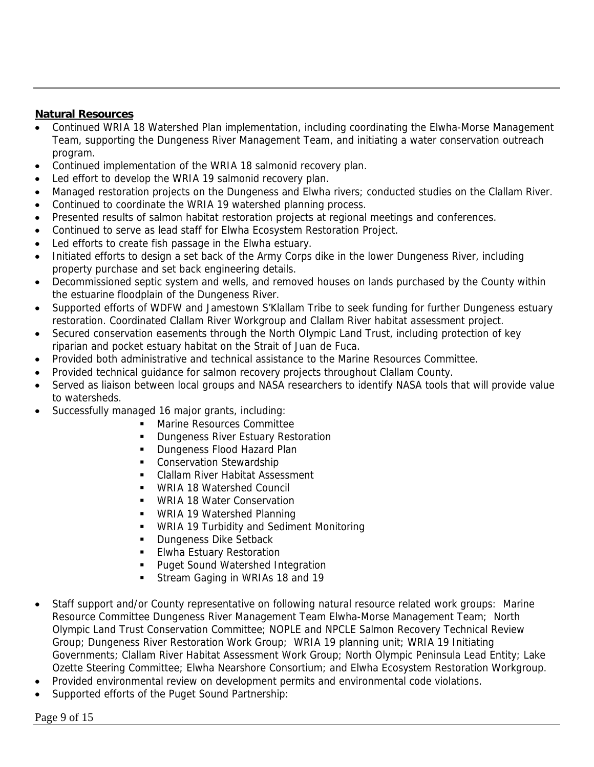#### **Natural Resources**

- Continued WRIA 18 Watershed Plan implementation, including coordinating the Elwha-Morse Management Team, supporting the Dungeness River Management Team, and initiating a water conservation outreach program.
- Continued implementation of the WRIA 18 salmonid recovery plan.
- Led effort to develop the WRIA 19 salmonid recovery plan.
- Managed restoration projects on the Dungeness and Elwha rivers; conducted studies on the Clallam River.
- Continued to coordinate the WRIA 19 watershed planning process.
- Presented results of salmon habitat restoration projects at regional meetings and conferences.
- Continued to serve as lead staff for Elwha Ecosystem Restoration Project.
- Led efforts to create fish passage in the Elwha estuary.
- Initiated efforts to design a set back of the Army Corps dike in the lower Dungeness River, including property purchase and set back engineering details.
- Decommissioned septic system and wells, and removed houses on lands purchased by the County within the estuarine floodplain of the Dungeness River.
- Supported efforts of WDFW and Jamestown S'Klallam Tribe to seek funding for further Dungeness estuary restoration. Coordinated Clallam River Workgroup and Clallam River habitat assessment project.
- Secured conservation easements through the North Olympic Land Trust, including protection of key riparian and pocket estuary habitat on the Strait of Juan de Fuca.
- Provided both administrative and technical assistance to the Marine Resources Committee.
- Provided technical guidance for salmon recovery projects throughout Clallam County.
- Served as liaison between local groups and NASA researchers to identify NASA tools that will provide value to watersheds.
- Successfully managed 16 major grants, including:
	- **Marine Resources Committee**
	- **Dungeness River Estuary Restoration**
	- **Dungeness Flood Hazard Plan**
	- Conservation Stewardship
	- Clallam River Habitat Assessment
	- **WRIA 18 Watershed Council**
	- **WRIA 18 Water Conservation**
	- **WRIA 19 Watershed Planning**
	- **WRIA 19 Turbidity and Sediment Monitoring**
	- **Dungeness Dike Setback**
	- **Elwha Estuary Restoration**
	- **Puget Sound Watershed Integration**
	- Stream Gaging in WRIAs 18 and 19
- Staff support and/or County representative on following natural resource related work groups: Marine Resource Committee Dungeness River Management Team Elwha-Morse Management Team; North Olympic Land Trust Conservation Committee; NOPLE and NPCLE Salmon Recovery Technical Review Group; Dungeness River Restoration Work Group; WRIA 19 planning unit; WRIA 19 Initiating Governments; Clallam River Habitat Assessment Work Group; North Olympic Peninsula Lead Entity; Lake Ozette Steering Committee; Elwha Nearshore Consortium; and Elwha Ecosystem Restoration Workgroup.
- Provided environmental review on development permits and environmental code violations.
- Supported efforts of the Puget Sound Partnership: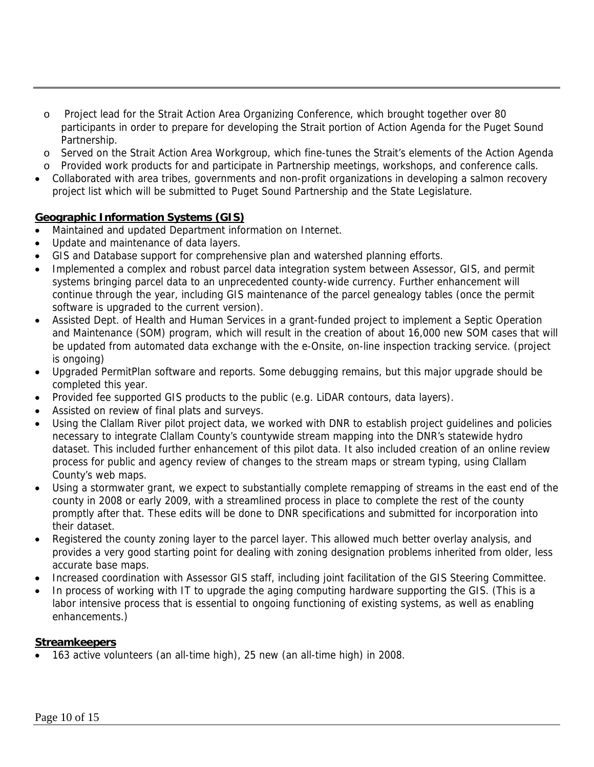- o Project lead for the Strait Action Area Organizing Conference, which brought together over 80 participants in order to prepare for developing the Strait portion of Action Agenda for the Puget Sound Partnership.
- o Served on the Strait Action Area Workgroup, which fine-tunes the Strait's elements of the Action Agenda
- o Provided work products for and participate in Partnership meetings, workshops, and conference calls.
- Collaborated with area tribes, governments and non-profit organizations in developing a salmon recovery project list which will be submitted to Puget Sound Partnership and the State Legislature.

## **Geographic Information Systems (GIS)**

- Maintained and updated Department information on Internet.
- Update and maintenance of data layers.
- GIS and Database support for comprehensive plan and watershed planning efforts.
- Implemented a complex and robust parcel data integration system between Assessor, GIS, and permit systems bringing parcel data to an unprecedented county-wide currency. Further enhancement will continue through the year, including GIS maintenance of the parcel genealogy tables (once the permit software is upgraded to the current version).
- Assisted Dept. of Health and Human Services in a grant-funded project to implement a Septic Operation and Maintenance (SOM) program, which will result in the creation of about 16,000 new SOM cases that will be updated from automated data exchange with the e-Onsite, on-line inspection tracking service. (project is ongoing)
- Upgraded PermitPlan software and reports. Some debugging remains, but this major upgrade should be completed this year.
- Provided fee supported GIS products to the public (e.g. LiDAR contours, data layers).
- Assisted on review of final plats and surveys.
- Using the Clallam River pilot project data, we worked with DNR to establish project guidelines and policies necessary to integrate Clallam County's countywide stream mapping into the DNR's statewide hydro dataset. This included further enhancement of this pilot data. It also included creation of an online review process for public and agency review of changes to the stream maps or stream typing, using Clallam County's web maps.
- Using a stormwater grant, we expect to substantially complete remapping of streams in the east end of the county in 2008 or early 2009, with a streamlined process in place to complete the rest of the county promptly after that. These edits will be done to DNR specifications and submitted for incorporation into their dataset.
- Registered the county zoning layer to the parcel layer. This allowed much better overlay analysis, and provides a very good starting point for dealing with zoning designation problems inherited from older, less accurate base maps.
- Increased coordination with Assessor GIS staff, including joint facilitation of the GIS Steering Committee.
- In process of working with IT to upgrade the aging computing hardware supporting the GIS. (This is a labor intensive process that is essential to ongoing functioning of existing systems, as well as enabling enhancements.)

#### **Streamkeepers**

• 163 active volunteers (an all-time high), 25 new (an all-time high) in 2008.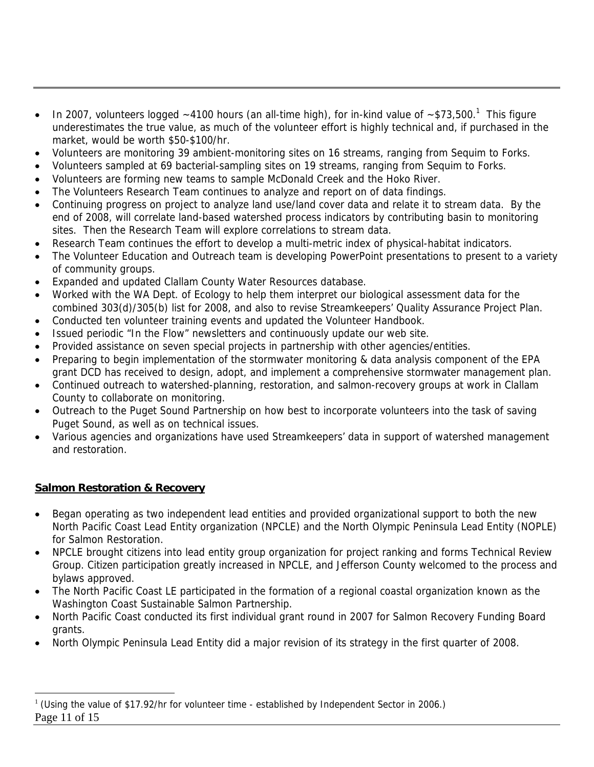- In 2007, volunteers logged  $\sim$  4100 hours (an all-time high), for in-kind value of  $\sim$  \$73,500.<sup>1</sup> This figure underestimates the true value, as much of the volunteer effort is highly technical and, if purchased in the market, would be worth \$50-\$100/hr.
- Volunteers are monitoring 39 ambient-monitoring sites on 16 streams, ranging from Sequim to Forks.
- Volunteers sampled at 69 bacterial-sampling sites on 19 streams, ranging from Sequim to Forks.
- Volunteers are forming new teams to sample McDonald Creek and the Hoko River.
- The Volunteers Research Team continues to analyze and report on of data findings.
- Continuing progress on project to analyze land use/land cover data and relate it to stream data. By the end of 2008, will correlate land-based watershed process indicators by contributing basin to monitoring sites. Then the Research Team will explore correlations to stream data.
- Research Team continues the effort to develop a multi-metric index of physical-habitat indicators.
- The Volunteer Education and Outreach team is developing PowerPoint presentations to present to a variety of community groups.
- Expanded and updated Clallam County Water Resources database.
- Worked with the WA Dept. of Ecology to help them interpret our biological assessment data for the combined 303(d)/305(b) list for 2008, and also to revise Streamkeepers' Quality Assurance Project Plan.
- Conducted ten volunteer training events and updated the Volunteer Handbook.
- Issued periodic "In the Flow" newsletters and continuously update our web site.
- Provided assistance on seven special projects in partnership with other agencies/entities.
- Preparing to begin implementation of the stormwater monitoring & data analysis component of the EPA grant DCD has received to design, adopt, and implement a comprehensive stormwater management plan.
- Continued outreach to watershed-planning, restoration, and salmon-recovery groups at work in Clallam County to collaborate on monitoring.
- Outreach to the Puget Sound Partnership on how best to incorporate volunteers into the task of saving Puget Sound, as well as on technical issues.
- Various agencies and organizations have used Streamkeepers' data in support of watershed management and restoration.

## **Salmon Restoration & Recovery**

 $\overline{a}$ 

- Began operating as two independent lead entities and provided organizational support to both the new North Pacific Coast Lead Entity organization (NPCLE) and the North Olympic Peninsula Lead Entity (NOPLE) for Salmon Restoration.
- NPCLE brought citizens into lead entity group organization for project ranking and forms Technical Review Group. Citizen participation greatly increased in NPCLE, and Jefferson County welcomed to the process and bylaws approved.
- The North Pacific Coast LE participated in the formation of a regional coastal organization known as the Washington Coast Sustainable Salmon Partnership.
- North Pacific Coast conducted its first individual grant round in 2007 for Salmon Recovery Funding Board grants.
- North Olympic Peninsula Lead Entity did a major revision of its strategy in the first quarter of 2008.

Page 11 of 15 <sup>1</sup> (Using the value of \$17.92/hr for volunteer time - established by Independent Sector in 2006.)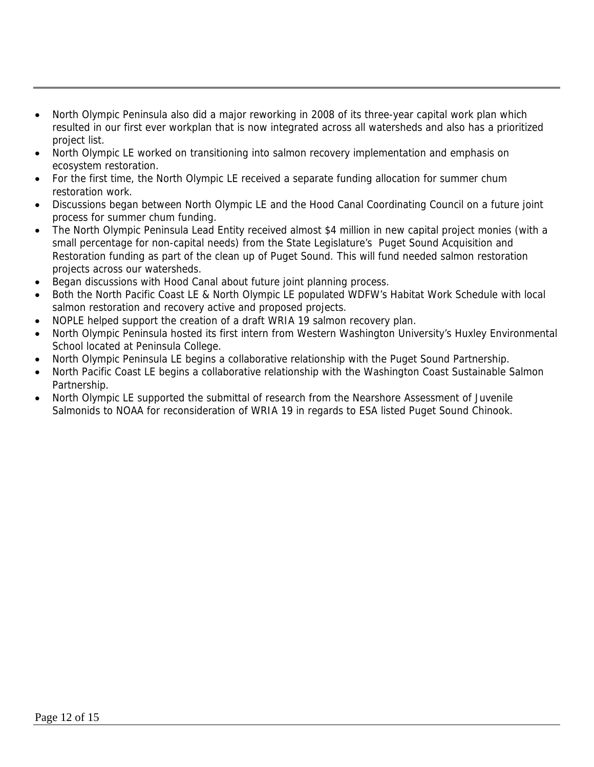- North Olympic Peninsula also did a major reworking in 2008 of its three-year capital work plan which resulted in our first ever workplan that is now integrated across all watersheds and also has a prioritized project list.
- North Olympic LE worked on transitioning into salmon recovery implementation and emphasis on ecosystem restoration.
- For the first time, the North Olympic LE received a separate funding allocation for summer chum restoration work.
- Discussions began between North Olympic LE and the Hood Canal Coordinating Council on a future joint process for summer chum funding.
- The North Olympic Peninsula Lead Entity received almost \$4 million in new capital project monies (with a small percentage for non-capital needs) from the State Legislature's Puget Sound Acquisition and Restoration funding as part of the clean up of Puget Sound. This will fund needed salmon restoration projects across our watersheds.
- Began discussions with Hood Canal about future joint planning process.
- Both the North Pacific Coast LE & North Olympic LE populated WDFW's Habitat Work Schedule with local salmon restoration and recovery active and proposed projects.
- NOPLE helped support the creation of a draft WRIA 19 salmon recovery plan.
- North Olympic Peninsula hosted its first intern from Western Washington University's Huxley Environmental School located at Peninsula College.
- North Olympic Peninsula LE begins a collaborative relationship with the Puget Sound Partnership.
- North Pacific Coast LE begins a collaborative relationship with the Washington Coast Sustainable Salmon Partnership.
- North Olympic LE supported the submittal of research from the Nearshore Assessment of Juvenile Salmonids to NOAA for reconsideration of WRIA 19 in regards to ESA listed Puget Sound Chinook.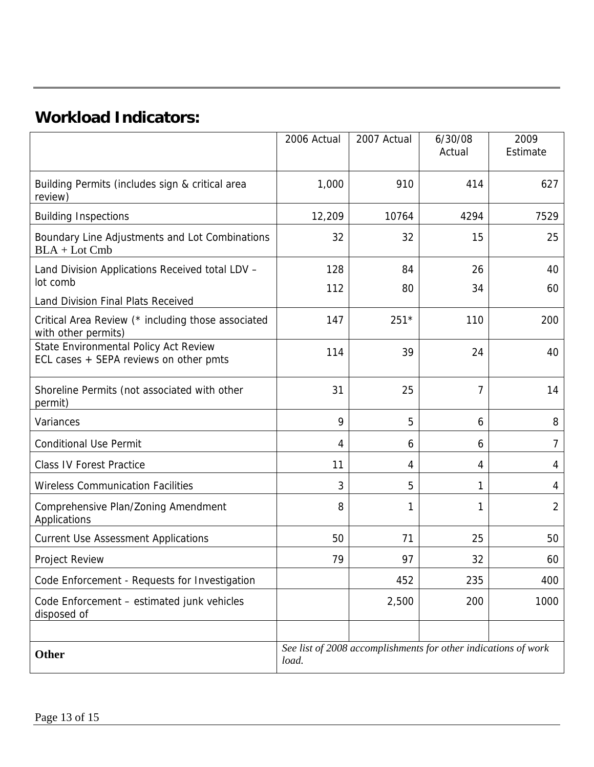# **Workload Indicators:**

|                                                                                                                 | 2006 Actual | 2007 Actual                                                    | 6/30/08<br>Actual | 2009<br>Estimate |
|-----------------------------------------------------------------------------------------------------------------|-------------|----------------------------------------------------------------|-------------------|------------------|
| Building Permits (includes sign & critical area<br>review)                                                      | 1,000       | 910                                                            | 414               | 627              |
| <b>Building Inspections</b>                                                                                     | 12,209      | 10764                                                          | 4294              | 7529             |
| Boundary Line Adjustments and Lot Combinations<br>$BLA + Lot Cmb$                                               | 32          | 32                                                             | 15                | 25               |
| Land Division Applications Received total LDV -                                                                 | 128         | 84                                                             | 26                | 40               |
| lot comb                                                                                                        | 112         | 80                                                             | 34                | 60               |
| Land Division Final Plats Received<br>Critical Area Review (* including those associated<br>with other permits) | 147         | $251*$                                                         | 110               | 200              |
| State Environmental Policy Act Review<br>ECL cases + SEPA reviews on other pmts                                 | 114         | 39                                                             | 24                | 40               |
| Shoreline Permits (not associated with other<br>permit)                                                         | 31          | 25                                                             | 7                 | 14               |
| Variances                                                                                                       | 9           | 5                                                              | 6                 | 8                |
| <b>Conditional Use Permit</b>                                                                                   | 4           | 6                                                              | 6                 | 7                |
| <b>Class IV Forest Practice</b>                                                                                 | 11          | 4                                                              | 4                 | 4                |
| <b>Wireless Communication Facilities</b>                                                                        | 3           | 5                                                              | 1                 | 4                |
| Comprehensive Plan/Zoning Amendment<br>Applications                                                             | 8           | 1                                                              | 1                 | 2                |
| <b>Current Use Assessment Applications</b>                                                                      | 50          | 71                                                             | 25                | 50               |
| Project Review                                                                                                  | 79          | 97                                                             | 32                | 60               |
| Code Enforcement - Requests for Investigation                                                                   |             | 452                                                            | 235               | 400              |
| Code Enforcement - estimated junk vehicles<br>disposed of                                                       |             | 2,500                                                          | 200               | 1000             |
| Other                                                                                                           | load.       | See list of 2008 accomplishments for other indications of work |                   |                  |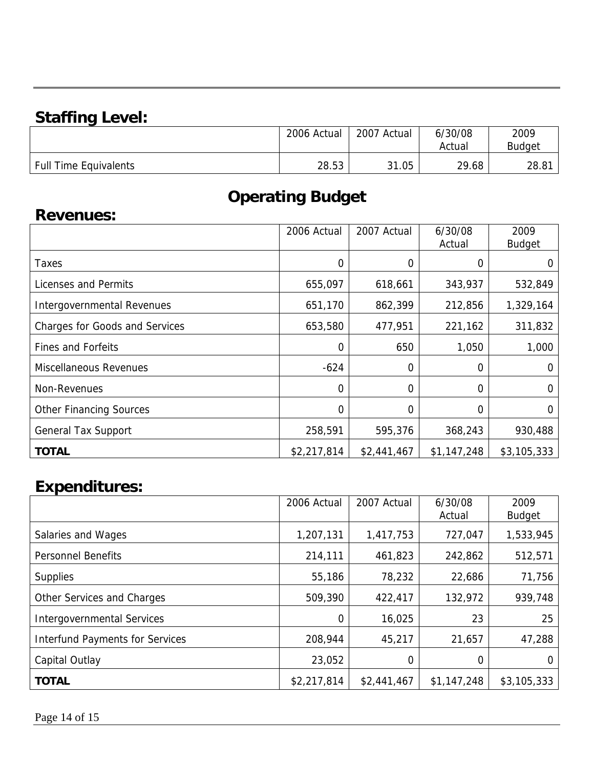# **Staffing Level:**

|                              | 2006 Actual | 2007<br>Actual | 6/30/08<br>Actual | 2009<br><b>Budget</b> |
|------------------------------|-------------|----------------|-------------------|-----------------------|
| <b>Full Time Equivalents</b> | 28.53       | 31.05          | 29.68             | 28.81                 |

# **Operating Budget**

# **Revenues:**

|                                       | 2006 Actual | 2007 Actual | 6/30/08     | 2009          |
|---------------------------------------|-------------|-------------|-------------|---------------|
|                                       |             |             | Actual      | <b>Budget</b> |
| Taxes                                 | 0           | 0           | 0           | 0             |
| Licenses and Permits                  | 655,097     | 618,661     | 343,937     | 532,849       |
| Intergovernmental Revenues            | 651,170     | 862,399     | 212,856     | 1,329,164     |
| <b>Charges for Goods and Services</b> | 653,580     | 477,951     | 221,162     | 311,832       |
| <b>Fines and Forfeits</b>             | 0           | 650         | 1,050       | 1,000         |
| Miscellaneous Revenues                | $-624$      | 0           | $\Omega$    | 0             |
| Non-Revenues                          | 0           | $\mathbf 0$ | $\Omega$    | 0             |
| <b>Other Financing Sources</b>        | 0           | 0           | 0           | 0             |
| <b>General Tax Support</b>            | 258,591     | 595,376     | 368,243     | 930,488       |
| <b>TOTAL</b>                          | \$2,217,814 | \$2,441,467 | \$1,147,248 | \$3,105,333   |

# **Expenditures:**

|                                        | 2006 Actual | 2007 Actual | 6/30/08<br>Actual | 2009<br><b>Budget</b> |
|----------------------------------------|-------------|-------------|-------------------|-----------------------|
| Salaries and Wages                     | 1,207,131   | 1,417,753   | 727,047           | 1,533,945             |
| <b>Personnel Benefits</b>              | 214,111     | 461,823     | 242,862           | 512,571               |
| <b>Supplies</b>                        | 55,186      | 78,232      | 22,686            | 71,756                |
| Other Services and Charges             | 509,390     | 422,417     | 132,972           | 939,748               |
| <b>Intergovernmental Services</b>      | 0           | 16,025      | 23                | 25                    |
| <b>Interfund Payments for Services</b> | 208,944     | 45,217      | 21,657            | 47,288                |
| Capital Outlay                         | 23,052      | 0           | 0                 |                       |
| <b>TOTAL</b>                           | \$2,217,814 | \$2,441,467 | \$1,147,248       | \$3,105,333           |